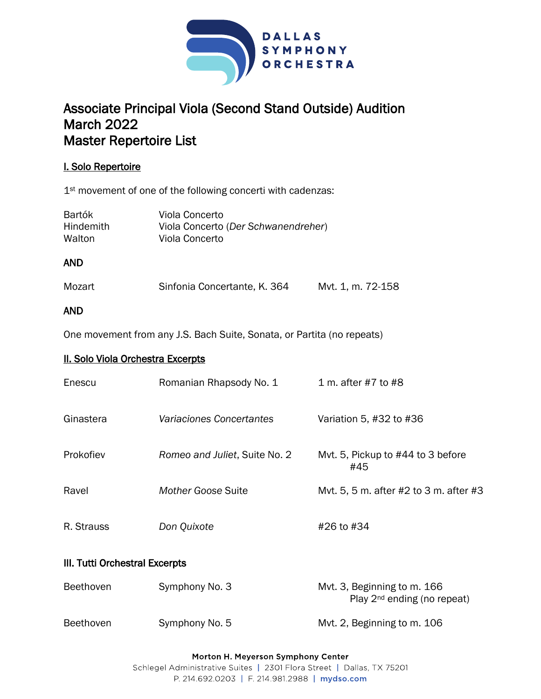

# Associate Principal Viola (Second Stand Outside) Audition March 2022 Master Repertoire List

## I. Solo Repertoire

1<sup>st</sup> movement of one of the following concerti with cadenzas:

| <b>Bartók</b>    | Viola Concerto                      |
|------------------|-------------------------------------|
| <b>Hindemith</b> | Viola Concerto (Der Schwanendreher) |
| Walton           | Viola Concerto                      |

## AND

| Mozart | Sinfonia Concertante, K. 364 | Mvt. 1, m. 72-158 |
|--------|------------------------------|-------------------|
|        |                              |                   |

## AND

One movement from any J.S. Bach Suite, Sonata, or Partita (no repeats)

## II. Solo Viola Orchestra Excerpts

| Enescu     | Romanian Rhapsody No. 1         | 1 m. after #7 to #8                      |
|------------|---------------------------------|------------------------------------------|
| Ginastera  | <b>Variaciones Concertantes</b> | Variation 5, #32 to #36                  |
| Prokofiev  | Romeo and Juliet, Suite No. 2   | Myt. 5, Pickup to #44 to 3 before<br>#45 |
| Ravel      | Mother Goose Suite              | Mvt. 5, 5 m. after #2 to 3 m. after #3   |
| R. Strauss | Don Quixote                     | #26 to #34                               |

## III. Tutti Orchestral Excerpts

| Beethoven        | Symphony No. 3 | Myt. 3, Beginning to m. 166<br>Play $2^{nd}$ ending (no repeat) |
|------------------|----------------|-----------------------------------------------------------------|
| <b>Beethoven</b> | Symphony No. 5 | Myt. 2, Beginning to m. 106                                     |